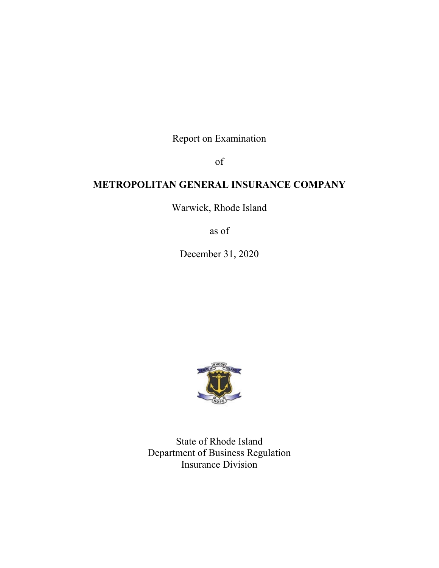Report on Examination

of

# **METROPOLITAN GENERAL INSURANCE COMPANY**

Warwick, Rhode Island

as of

December 31, 2020



State of Rhode Island Department of Business Regulation Insurance Division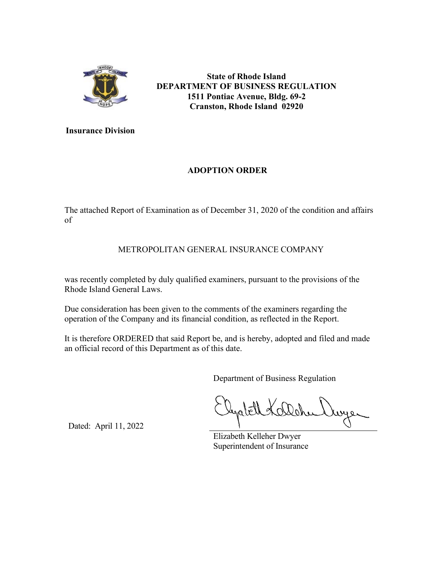

**State of Rhode Island DEPARTMENT OF BUSINESS REGULATION 1511 Pontiac Avenue, Bldg. 69-2 Cranston, Rhode Island 02920**

**Insurance Division**

## **ADOPTION ORDER**

The attached Report of Examination as of December 31, 2020 of the condition and affairs of

## METROPOLITAN GENERAL INSURANCE COMPANY

was recently completed by duly qualified examiners, pursuant to the provisions of the Rhode Island General Laws.

Due consideration has been given to the comments of the examiners regarding the operation of the Company and its financial condition, as reflected in the Report.

It is therefore ORDERED that said Report be, and is hereby, adopted and filed and made an official record of this Department as of this date.

Department of Business Regulation

Elizabeth Kelleher Dwyer Superintendent of Insurance

Dated: April 11, 2022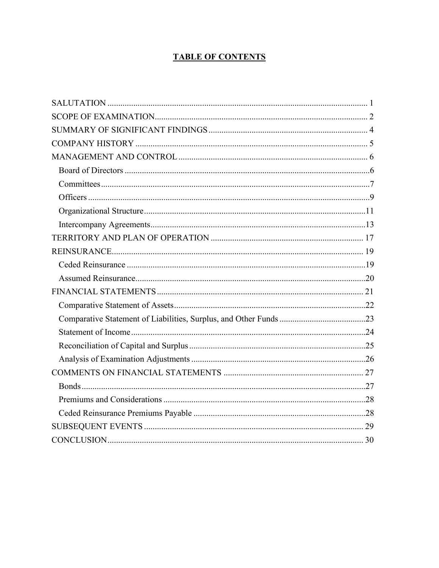# **TABLE OF CONTENTS**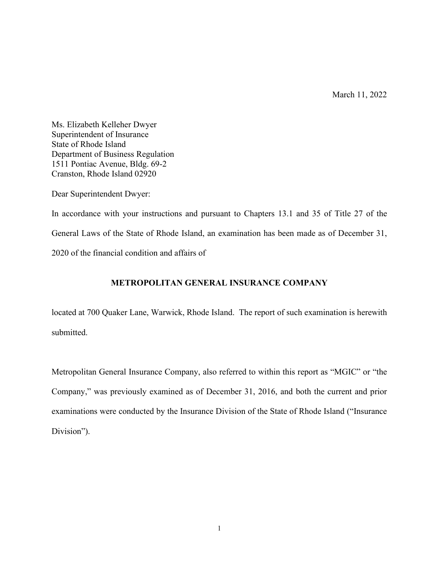March 11, 2022

<span id="page-3-0"></span>Ms. Elizabeth Kelleher Dwyer Superintendent of Insurance State of Rhode Island Department of Business Regulation 1511 Pontiac Avenue, Bldg. 69-2 Cranston, Rhode Island 02920

Dear Superintendent Dwyer:

In accordance with your instructions and pursuant to Chapters 13.1 and 35 of Title 27 of the General Laws of the State of Rhode Island, an examination has been made as of December 31, 2020 of the financial condition and affairs of

#### **METROPOLITAN GENERAL INSURANCE COMPANY**

located at 700 Quaker Lane, Warwick, Rhode Island. The report of such examination is herewith submitted.

Metropolitan General Insurance Company, also referred to within this report as "MGIC" or "the Company," was previously examined as of December 31, 2016, and both the current and prior examinations were conducted by the Insurance Division of the State of Rhode Island ("Insurance Division").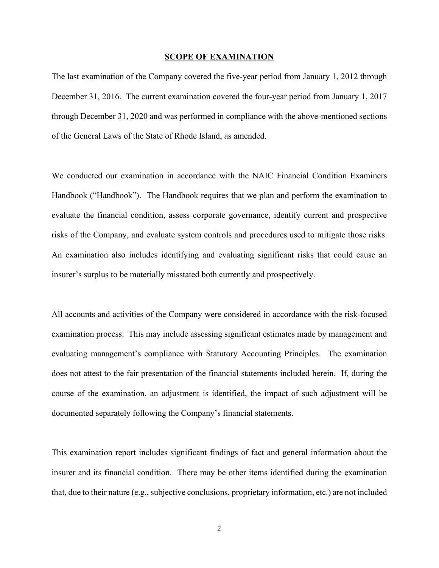#### **SCOPE OF EXAMINATION**

<span id="page-4-0"></span>The last examination of the Company covered the five-year period from January 1, 2012 through December 31, 2016. The current examination covered the four-year period from January 1, 2017 through December 31, 2020 and was performed in compliance with the above-mentioned sections of the General Laws of the State of Rhode Island, as amended.

We conducted our examination in accordance with the NAIC Financial Condition Examiners Handbook ("Handbook"). The Handbook requires that we plan and perform the examination to evaluate the financial condition, assess corporate governance, identify current and prospective risks of the Company, and evaluate system controls and procedures used to mitigate those risks. An examination also includes identifying and evaluating significant risks that could cause an insurer's surplus to be materially misstated both currently and prospectively.

All accounts and activities of the Company were considered in accordance with the risk-focused examination process. This may include assessing significant estimates made by management and evaluating management's compliance with Statutory Accounting Principles. The examination does not attest to the fair presentation of the financial statements included herein. If, during the course of the examination, an adjustment is identified, the impact of such adjustment will be documented separately following the Company's financial statements.

This examination report includes significant findings of fact and general information about the insurer and its financial condition. There may be other items identified during the examination that, due to their nature (e.g., subjective conclusions, proprietary information, etc.) are not included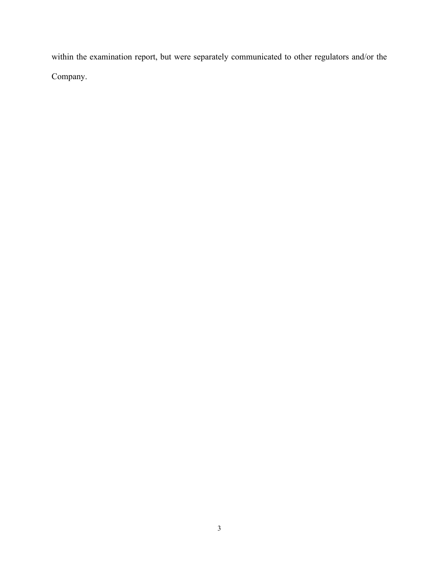within the examination report, but were separately communicated to other regulators and/or the Company.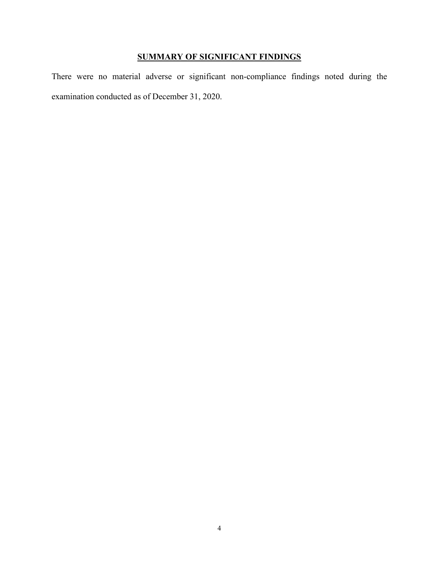# **SUMMARY OF SIGNIFICANT FINDINGS**

<span id="page-6-0"></span>There were no material adverse or significant non-compliance findings noted during the examination conducted as of December 31, 2020.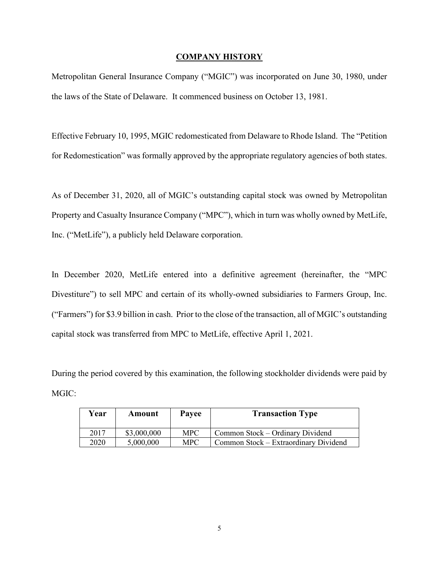#### **COMPANY HISTORY**

<span id="page-7-0"></span>Metropolitan General Insurance Company ("MGIC") was incorporated on June 30, 1980, under the laws of the State of Delaware. It commenced business on October 13, 1981.

Effective February 10, 1995, MGIC redomesticated from Delaware to Rhode Island. The "Petition for Redomestication" was formally approved by the appropriate regulatory agencies of both states.

As of December 31, 2020, all of MGIC's outstanding capital stock was owned by Metropolitan Property and Casualty Insurance Company ("MPC"), which in turn was wholly owned by MetLife, Inc. ("MetLife"), a publicly held Delaware corporation.

In December 2020, MetLife entered into a definitive agreement (hereinafter, the "MPC Divestiture") to sell MPC and certain of its wholly-owned subsidiaries to Farmers Group, Inc. ("Farmers") for \$3.9 billion in cash. Prior to the close of the transaction, all of MGIC's outstanding capital stock was transferred from MPC to MetLife, effective April 1, 2021.

During the period covered by this examination, the following stockholder dividends were paid by MGIC:

| Year | Amount      | Payee      | <b>Transaction Type</b>               |
|------|-------------|------------|---------------------------------------|
| 2017 | \$3,000,000 | <b>MPC</b> | Common Stock - Ordinary Dividend      |
| 2020 | 5,000,000   | <b>MPC</b> | Common Stock – Extraordinary Dividend |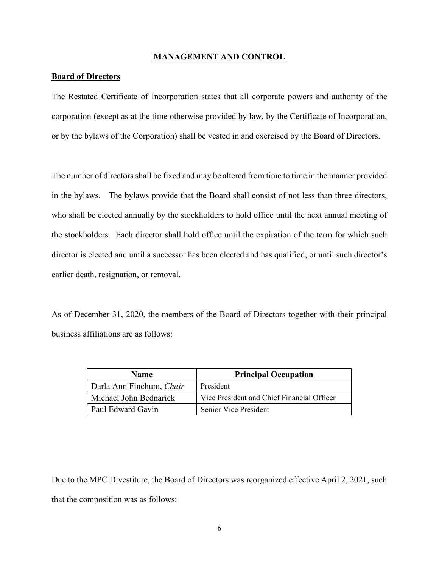#### **MANAGEMENT AND CONTROL**

#### <span id="page-8-1"></span><span id="page-8-0"></span>**Board of Directors**

The Restated Certificate of Incorporation states that all corporate powers and authority of the corporation (except as at the time otherwise provided by law, by the Certificate of Incorporation, or by the bylaws of the Corporation) shall be vested in and exercised by the Board of Directors.

The number of directors shall be fixed and may be altered from time to time in the manner provided in the bylaws. The bylaws provide that the Board shall consist of not less than three directors, who shall be elected annually by the stockholders to hold office until the next annual meeting of the stockholders. Each director shall hold office until the expiration of the term for which such director is elected and until a successor has been elected and has qualified, or until such director's earlier death, resignation, or removal.

As of December 31, 2020, the members of the Board of Directors together with their principal business affiliations are as follows:

| <b>Name</b>              | <b>Principal Occupation</b>                |  |
|--------------------------|--------------------------------------------|--|
| Darla Ann Finchum, Chair | President                                  |  |
| Michael John Bednarick   | Vice President and Chief Financial Officer |  |
| Paul Edward Gavin        | <b>Senior Vice President</b>               |  |

Due to the MPC Divestiture, the Board of Directors was reorganized effective April 2, 2021, such that the composition was as follows: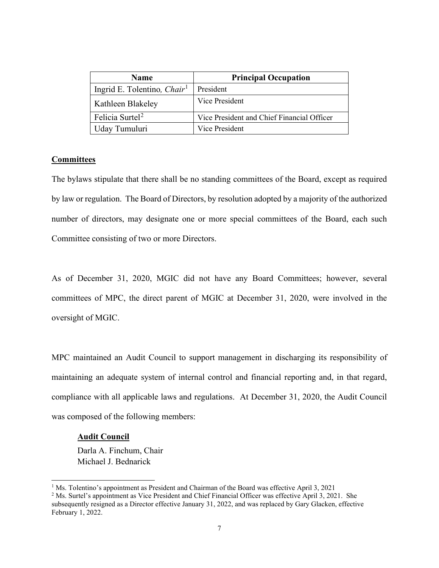| <b>Name</b>                             | <b>Principal Occupation</b>                |
|-----------------------------------------|--------------------------------------------|
| Ingrid E. Tolentino, Chair <sup>1</sup> | President                                  |
| Kathleen Blakeley                       | Vice President                             |
| Felicia Surtel <sup>2</sup>             | Vice President and Chief Financial Officer |
| Uday Tumuluri                           | Vice President                             |

#### <span id="page-9-0"></span>**Committees**

The bylaws stipulate that there shall be no standing committees of the Board, except as required by law or regulation. The Board of Directors, by resolution adopted by a majority of the authorized number of directors, may designate one or more special committees of the Board, each such Committee consisting of two or more Directors.

As of December 31, 2020, MGIC did not have any Board Committees; however, several committees of MPC, the direct parent of MGIC at December 31, 2020, were involved in the oversight of MGIC.

MPC maintained an Audit Council to support management in discharging its responsibility of maintaining an adequate system of internal control and financial reporting and, in that regard, compliance with all applicable laws and regulations. At December 31, 2020, the Audit Council was composed of the following members:

#### **Audit Council**

Darla A. Finchum, Chair Michael J. Bednarick

<span id="page-9-1"></span><sup>&</sup>lt;sup>1</sup> Ms. Tolentino's appointment as President and Chairman of the Board was effective April 3, 2021

<span id="page-9-2"></span> $2$  Ms. Surtel's appointment as Vice President and Chief Financial Officer was effective April 3, 2021. She subsequently resigned as a Director effective January 31, 2022, and was replaced by Gary Glacken, effective February 1, 2022.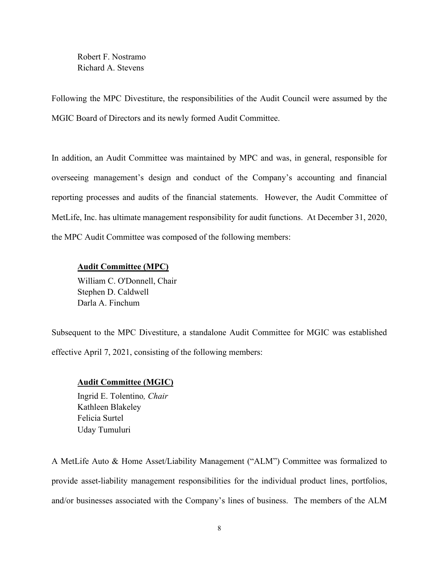Robert F. Nostramo Richard A. Stevens

Following the MPC Divestiture, the responsibilities of the Audit Council were assumed by the MGIC Board of Directors and its newly formed Audit Committee.

In addition, an Audit Committee was maintained by MPC and was, in general, responsible for overseeing management's design and conduct of the Company's accounting and financial reporting processes and audits of the financial statements. However, the Audit Committee of MetLife, Inc. has ultimate management responsibility for audit functions. At December 31, 2020, the MPC Audit Committee was composed of the following members:

#### **Audit Committee (MPC)**

William C. O'Donnell, Chair Stephen D. Caldwell Darla A. Finchum

Subsequent to the MPC Divestiture, a standalone Audit Committee for MGIC was established effective April 7, 2021, consisting of the following members:

#### **Audit Committee (MGIC)**

Ingrid E. Tolentino*, Chair* Kathleen Blakeley Felicia Surtel Uday Tumuluri

A MetLife Auto & Home Asset/Liability Management ("ALM") Committee was formalized to provide asset-liability management responsibilities for the individual product lines, portfolios, and/or businesses associated with the Company's lines of business. The members of the ALM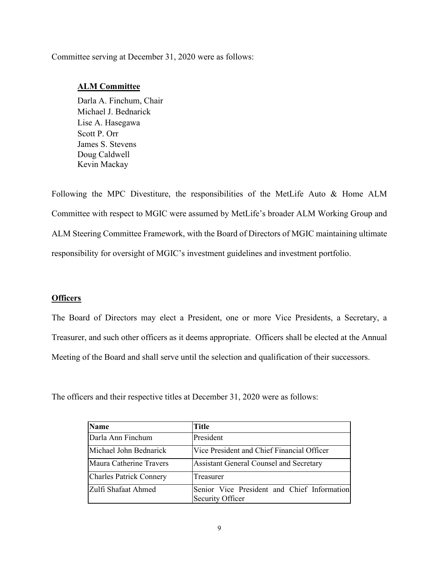#### Committee serving at December 31, 2020 were as follows:

#### **ALM Committee**

Darla A. Finchum, Chair Michael J. Bednarick Lise A. Hasegawa Scott P. Orr James S. Stevens Doug Caldwell Kevin Mackay

Following the MPC Divestiture, the responsibilities of the MetLife Auto & Home ALM Committee with respect to MGIC were assumed by MetLife's broader ALM Working Group and ALM Steering Committee Framework, with the Board of Directors of MGIC maintaining ultimate responsibility for oversight of MGIC's investment guidelines and investment portfolio.

#### <span id="page-11-0"></span>**Officers**

The Board of Directors may elect a President, one or more Vice Presidents, a Secretary, a Treasurer, and such other officers as it deems appropriate. Officers shall be elected at the Annual Meeting of the Board and shall serve until the selection and qualification of their successors.

The officers and their respective titles at December 31, 2020 were as follows:

| <b>Name</b>                    | <b>Title</b>                                                    |
|--------------------------------|-----------------------------------------------------------------|
| Darla Ann Finchum              | President                                                       |
| Michael John Bednarick         | Vice President and Chief Financial Officer                      |
| Maura Catherine Travers        | Assistant General Counsel and Secretary                         |
| <b>Charles Patrick Connery</b> | Treasurer                                                       |
| Zulfi Shafaat Ahmed            | Senior Vice President and Chief Information<br>Security Officer |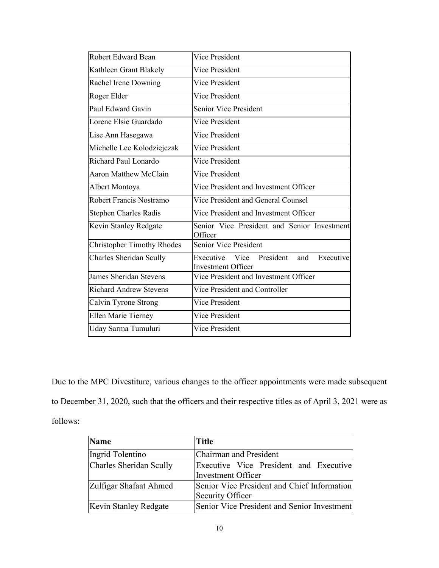| <b>Robert Edward Bean</b>         | Vice President                                                               |
|-----------------------------------|------------------------------------------------------------------------------|
| Kathleen Grant Blakely            | Vice President                                                               |
| Rachel Irene Downing              | Vice President                                                               |
| Roger Elder                       | <b>Vice President</b>                                                        |
| Paul Edward Gavin                 | Senior Vice President                                                        |
| Lorene Elsie Guardado             | Vice President                                                               |
| Lise Ann Hasegawa                 | Vice President                                                               |
| Michelle Lee Kolodziejczak        | <b>Vice President</b>                                                        |
| Richard Paul Lonardo              | Vice President                                                               |
| <b>Aaron Matthew McClain</b>      | Vice President                                                               |
| Albert Montoya                    | Vice President and Investment Officer                                        |
| Robert Francis Nostramo           | Vice President and General Counsel                                           |
| <b>Stephen Charles Radis</b>      | Vice President and Investment Officer                                        |
| Kevin Stanley Redgate             | Senior Vice President and Senior Investment<br>Officer                       |
| <b>Christopher Timothy Rhodes</b> | Senior Vice President                                                        |
| Charles Sheridan Scully           | President<br>Executive<br>Executive Vice<br>and<br><b>Investment Officer</b> |
| <b>James Sheridan Stevens</b>     | Vice President and Investment Officer                                        |
| <b>Richard Andrew Stevens</b>     | Vice President and Controller                                                |
| Calvin Tyrone Strong              | Vice President                                                               |
| Ellen Marie Tierney               | Vice President                                                               |
| Uday Sarma Tumuluri               | <b>Vice President</b>                                                        |

Due to the MPC Divestiture, various changes to the officer appointments were made subsequent to December 31, 2020, such that the officers and their respective titles as of April 3, 2021 were as follows:

| Name                         | <b>Title</b>                                |  |  |
|------------------------------|---------------------------------------------|--|--|
| Ingrid Tolentino             | Chairman and President                      |  |  |
| Charles Sheridan Scully      | Executive Vice President and Executive      |  |  |
|                              | <b>Investment Officer</b>                   |  |  |
| Zulfigar Shafaat Ahmed       | Senior Vice President and Chief Information |  |  |
|                              | Security Officer                            |  |  |
| <b>Kevin Stanley Redgate</b> | Senior Vice President and Senior Investment |  |  |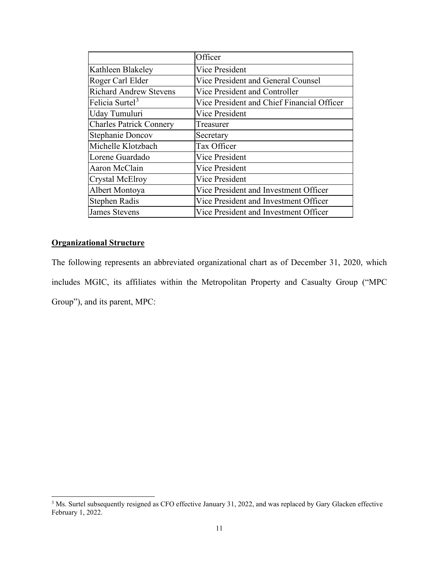|                                | Officer                                    |
|--------------------------------|--------------------------------------------|
| Kathleen Blakeley              | <b>Vice President</b>                      |
| Roger Carl Elder               | Vice President and General Counsel         |
| <b>Richard Andrew Stevens</b>  | Vice President and Controller              |
| Felicia Surtel <sup>3</sup>    | Vice President and Chief Financial Officer |
| Uday Tumuluri                  | <b>Vice President</b>                      |
| <b>Charles Patrick Connery</b> | Treasurer                                  |
| <b>Stephanie Doncov</b>        | Secretary                                  |
| Michelle Klotzbach             | Tax Officer                                |
| Lorene Guardado                | <b>Vice President</b>                      |
| Aaron McClain                  | <b>Vice President</b>                      |
| Crystal McElroy                | <b>Vice President</b>                      |
| Albert Montoya                 | Vice President and Investment Officer      |
| Stephen Radis                  | Vice President and Investment Officer      |
| <b>James Stevens</b>           | Vice President and Investment Officer      |

## <span id="page-13-0"></span>**Organizational Structure**

The following represents an abbreviated organizational chart as of December 31, 2020, which includes MGIC, its affiliates within the Metropolitan Property and Casualty Group ("MPC Group"), and its parent, MPC:

<span id="page-13-1"></span><sup>&</sup>lt;sup>3</sup> Ms. Surtel subsequently resigned as CFO effective January 31, 2022, and was replaced by Gary Glacken effective February 1, 2022.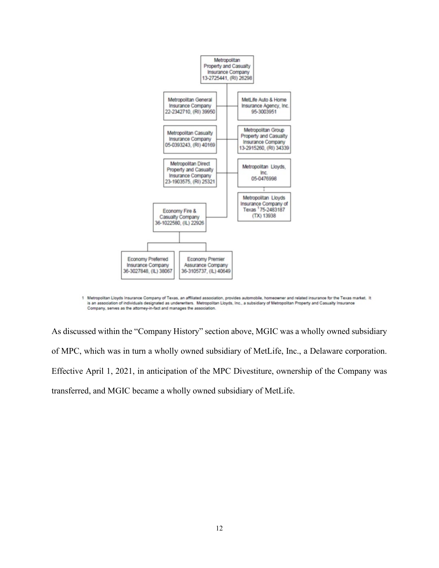

1 Metropolitan Lloyds Insurance Company of Texas, an affiliated association, provides automobile, homeowner and related insurance for the Texas market. It is an association of individuals designated as underwriters. Metropolitan Lloyds, Inc., a subsidiary of Metropolitan Property and Casualty Insurance Company, serves as the attorney-in-fact and manages the association.

As discussed within the "Company History" section above, MGIC was a wholly owned subsidiary of MPC, which was in turn a wholly owned subsidiary of MetLife, Inc., a Delaware corporation. Effective April 1, 2021, in anticipation of the MPC Divestiture, ownership of the Company was transferred, and MGIC became a wholly owned subsidiary of MetLife.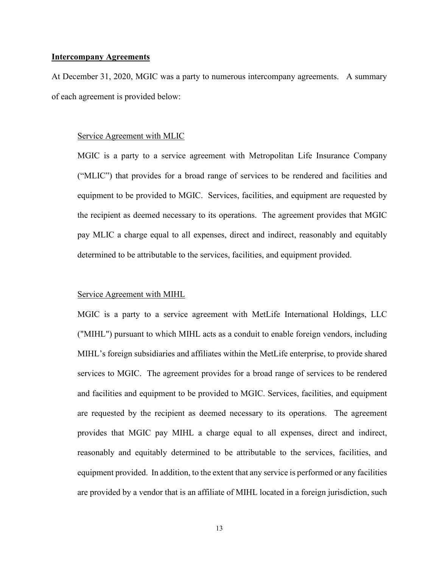#### <span id="page-15-0"></span>**Intercompany Agreements**

At December 31, 2020, MGIC was a party to numerous intercompany agreements. A summary of each agreement is provided below:

#### Service Agreement with MLIC

MGIC is a party to a service agreement with Metropolitan Life Insurance Company ("MLIC") that provides for a broad range of services to be rendered and facilities and equipment to be provided to MGIC. Services, facilities, and equipment are requested by the recipient as deemed necessary to its operations. The agreement provides that MGIC pay MLIC a charge equal to all expenses, direct and indirect, reasonably and equitably determined to be attributable to the services, facilities, and equipment provided.

#### Service Agreement with MIHL

MGIC is a party to a service agreement with MetLife International Holdings, LLC ("MIHL") pursuant to which MIHL acts as a conduit to enable foreign vendors, including MIHL's foreign subsidiaries and affiliates within the MetLife enterprise, to provide shared services to MGIC. The agreement provides for a broad range of services to be rendered and facilities and equipment to be provided to MGIC. Services, facilities, and equipment are requested by the recipient as deemed necessary to its operations. The agreement provides that MGIC pay MIHL a charge equal to all expenses, direct and indirect, reasonably and equitably determined to be attributable to the services, facilities, and equipment provided. In addition, to the extent that any service is performed or any facilities are provided by a vendor that is an affiliate of MIHL located in a foreign jurisdiction, such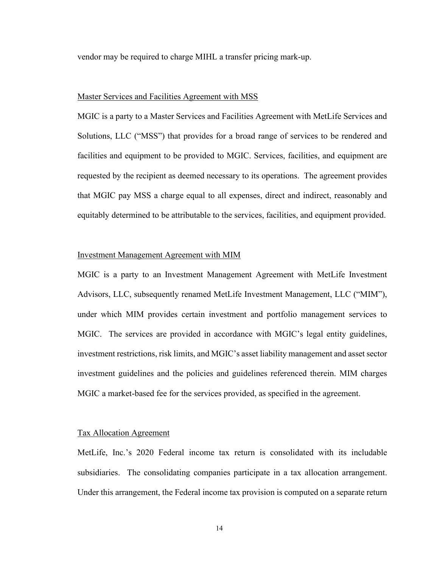vendor may be required to charge MIHL a transfer pricing mark-up.

#### Master Services and Facilities Agreement with MSS

MGIC is a party to a Master Services and Facilities Agreement with MetLife Services and Solutions, LLC ("MSS") that provides for a broad range of services to be rendered and facilities and equipment to be provided to MGIC. Services, facilities, and equipment are requested by the recipient as deemed necessary to its operations. The agreement provides that MGIC pay MSS a charge equal to all expenses, direct and indirect, reasonably and equitably determined to be attributable to the services, facilities, and equipment provided.

#### Investment Management Agreement with MIM

MGIC is a party to an Investment Management Agreement with MetLife Investment Advisors, LLC, subsequently renamed MetLife Investment Management, LLC ("MIM"), under which MIM provides certain investment and portfolio management services to MGIC. The services are provided in accordance with MGIC's legal entity guidelines, investment restrictions, risk limits, and MGIC's asset liability management and asset sector investment guidelines and the policies and guidelines referenced therein. MIM charges MGIC a market-based fee for the services provided, as specified in the agreement.

#### Tax Allocation Agreement

MetLife, Inc.'s 2020 Federal income tax return is consolidated with its includable subsidiaries. The consolidating companies participate in a tax allocation arrangement. Under this arrangement, the Federal income tax provision is computed on a separate return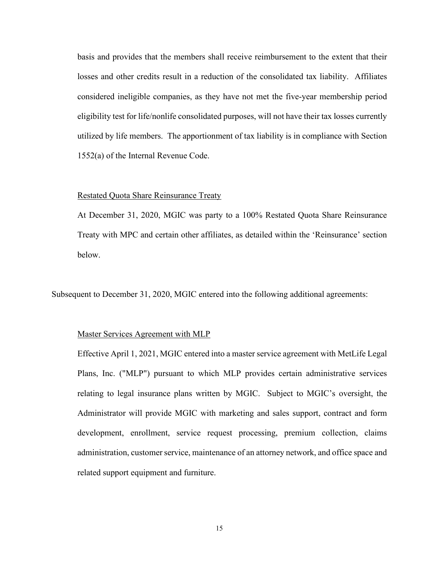basis and provides that the members shall receive reimbursement to the extent that their losses and other credits result in a reduction of the consolidated tax liability. Affiliates considered ineligible companies, as they have not met the five-year membership period eligibility test for life/nonlife consolidated purposes, will not have their tax losses currently utilized by life members. The apportionment of tax liability is in compliance with Section 1552(a) of the Internal Revenue Code.

#### Restated Quota Share Reinsurance Treaty

At December 31, 2020, MGIC was party to a 100% Restated Quota Share Reinsurance Treaty with MPC and certain other affiliates, as detailed within the 'Reinsurance' section below.

Subsequent to December 31, 2020, MGIC entered into the following additional agreements:

#### Master Services Agreement with MLP

Effective April 1, 2021, MGIC entered into a master service agreement with MetLife Legal Plans, Inc. ("MLP") pursuant to which MLP provides certain administrative services relating to legal insurance plans written by MGIC. Subject to MGIC's oversight, the Administrator will provide MGIC with marketing and sales support, contract and form development, enrollment, service request processing, premium collection, claims administration, customer service, maintenance of an attorney network, and office space and related support equipment and furniture.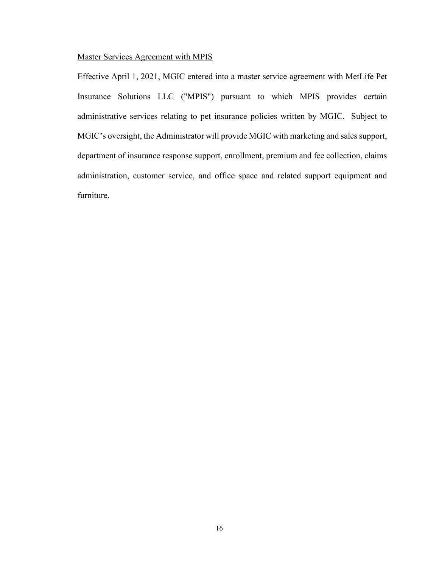## Master Services Agreement with MPIS

Effective April 1, 2021, MGIC entered into a master service agreement with MetLife Pet Insurance Solutions LLC ("MPIS") pursuant to which MPIS provides certain administrative services relating to pet insurance policies written by MGIC. Subject to MGIC's oversight, the Administrator will provide MGIC with marketing and sales support, department of insurance response support, enrollment, premium and fee collection, claims administration, customer service, and office space and related support equipment and furniture.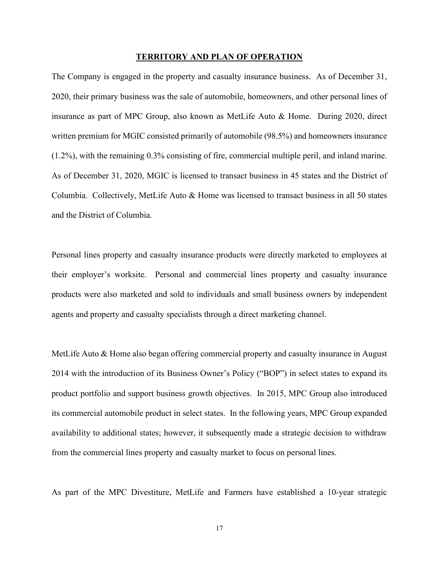#### **TERRITORY AND PLAN OF OPERATION**

<span id="page-19-0"></span>The Company is engaged in the property and casualty insurance business. As of December 31, 2020, their primary business was the sale of automobile, homeowners, and other personal lines of insurance as part of MPC Group, also known as MetLife Auto & Home. During 2020, direct written premium for MGIC consisted primarily of automobile (98.5%) and homeowners insurance (1.2%), with the remaining 0.3% consisting of fire, commercial multiple peril, and inland marine. As of December 31, 2020, MGIC is licensed to transact business in 45 states and the District of Columbia. Collectively, MetLife Auto & Home was licensed to transact business in all 50 states and the District of Columbia.

Personal lines property and casualty insurance products were directly marketed to employees at their employer's worksite. Personal and commercial lines property and casualty insurance products were also marketed and sold to individuals and small business owners by independent agents and property and casualty specialists through a direct marketing channel.

MetLife Auto & Home also began offering commercial property and casualty insurance in August 2014 with the introduction of its Business Owner's Policy ("BOP") in select states to expand its product portfolio and support business growth objectives. In 2015, MPC Group also introduced its commercial automobile product in select states. In the following years, MPC Group expanded availability to additional states; however, it subsequently made a strategic decision to withdraw from the commercial lines property and casualty market to focus on personal lines.

As part of the MPC Divestiture, MetLife and Farmers have established a 10-year strategic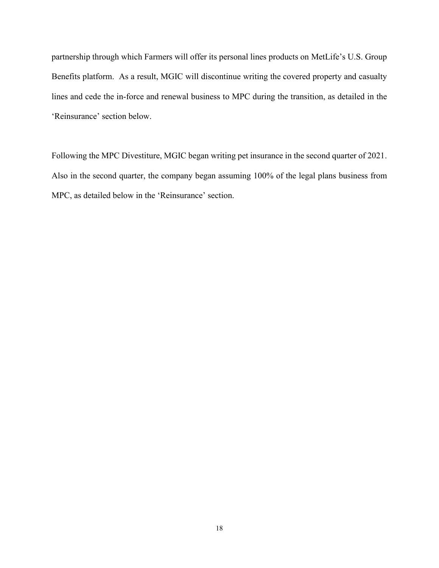partnership through which Farmers will offer its personal lines products on MetLife's U.S. Group Benefits platform. As a result, MGIC will discontinue writing the covered property and casualty lines and cede the in-force and renewal business to MPC during the transition, as detailed in the 'Reinsurance' section below.

Following the MPC Divestiture, MGIC began writing pet insurance in the second quarter of 2021. Also in the second quarter, the company began assuming 100% of the legal plans business from MPC, as detailed below in the 'Reinsurance' section.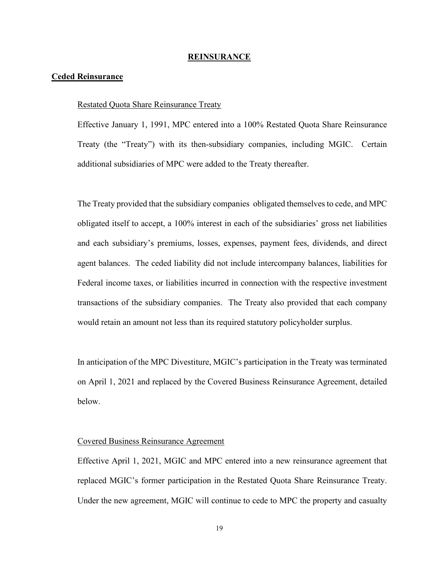#### **REINSURANCE**

#### <span id="page-21-1"></span><span id="page-21-0"></span>**Ceded Reinsurance**

#### Restated Quota Share Reinsurance Treaty

Effective January 1, 1991, MPC entered into a 100% Restated Quota Share Reinsurance Treaty (the "Treaty") with its then-subsidiary companies, including MGIC. Certain additional subsidiaries of MPC were added to the Treaty thereafter.

The Treaty provided that the subsidiary companies obligated themselves to cede, and MPC obligated itself to accept, a 100% interest in each of the subsidiaries' gross net liabilities and each subsidiary's premiums, losses, expenses, payment fees, dividends, and direct agent balances. The ceded liability did not include intercompany balances, liabilities for Federal income taxes, or liabilities incurred in connection with the respective investment transactions of the subsidiary companies. The Treaty also provided that each company would retain an amount not less than its required statutory policyholder surplus.

In anticipation of the MPC Divestiture, MGIC's participation in the Treaty was terminated on April 1, 2021 and replaced by the Covered Business Reinsurance Agreement, detailed below.

#### Covered Business Reinsurance Agreement

Effective April 1, 2021, MGIC and MPC entered into a new reinsurance agreement that replaced MGIC's former participation in the Restated Quota Share Reinsurance Treaty. Under the new agreement, MGIC will continue to cede to MPC the property and casualty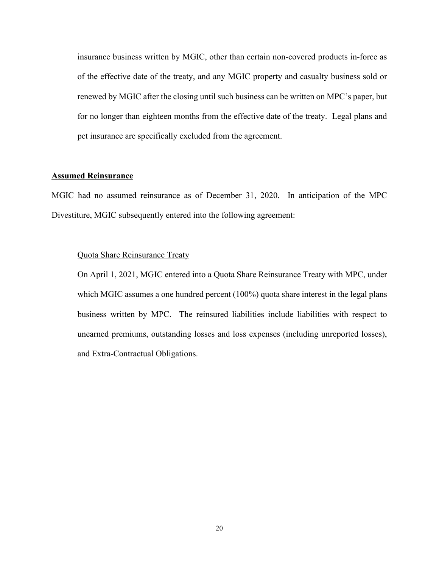insurance business written by MGIC, other than certain non-covered products in-force as of the effective date of the treaty, and any MGIC property and casualty business sold or renewed by MGIC after the closing until such business can be written on MPC's paper, but for no longer than eighteen months from the effective date of the treaty. Legal plans and pet insurance are specifically excluded from the agreement.

#### <span id="page-22-0"></span>**Assumed Reinsurance**

MGIC had no assumed reinsurance as of December 31, 2020. In anticipation of the MPC Divestiture, MGIC subsequently entered into the following agreement:

#### Quota Share Reinsurance Treaty

On April 1, 2021, MGIC entered into a Quota Share Reinsurance Treaty with MPC, under which MGIC assumes a one hundred percent (100%) quota share interest in the legal plans business written by MPC. The reinsured liabilities include liabilities with respect to unearned premiums, outstanding losses and loss expenses (including unreported losses), and Extra-Contractual Obligations.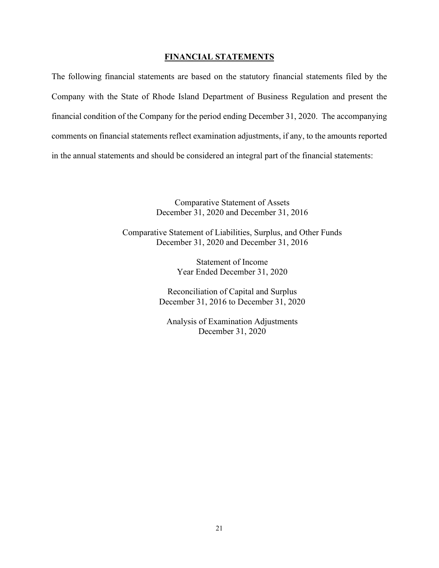#### **FINANCIAL STATEMENTS**

<span id="page-23-0"></span>The following financial statements are based on the statutory financial statements filed by the Company with the State of Rhode Island Department of Business Regulation and present the financial condition of the Company for the period ending December 31, 2020. The accompanying comments on financial statements reflect examination adjustments, if any, to the amounts reported in the annual statements and should be considered an integral part of the financial statements:

> Comparative Statement of Assets December 31, 2020 and December 31, 2016

Comparative Statement of Liabilities, Surplus, and Other Funds December 31, 2020 and December 31, 2016

> Statement of Income Year Ended December 31, 2020

Reconciliation of Capital and Surplus December 31, 2016 to December 31, 2020

Analysis of Examination Adjustments December 31, 2020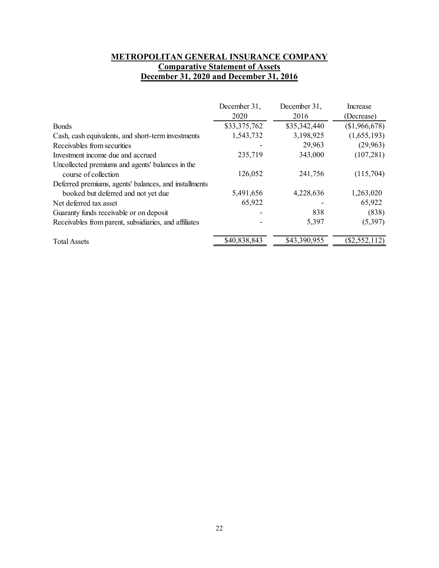## **METROPOLITAN GENERAL INSURANCE COMPANY Comparative Statement of Assets December 31, 2020 and December 31, 2016**

<span id="page-24-0"></span>

|                                                       | December 31, | December 31, | <i><u>Increase</u></i> |
|-------------------------------------------------------|--------------|--------------|------------------------|
|                                                       | 2020         | 2016         | (Decrease)             |
| <b>Bonds</b>                                          | \$33,375,762 | \$35,342,440 | (\$1,966,678)          |
| Cash, cash equivalents, and short-term investments    | 1,543,732    | 3,198,925    | (1,655,193)            |
| Receivables from securities                           |              | 29,963       | (29, 963)              |
| Investment income due and accrued                     | 235,719      | 343,000      | (107, 281)             |
| Uncollected premiums and agents' balances in the      |              |              |                        |
| course of collection                                  | 126,052      | 241,756      | (115,704)              |
| Deferred premiums, agents' balances, and installments |              |              |                        |
| booked but deferred and not yet due                   | 5,491,656    | 4,228,636    | 1,263,020              |
| Net deferred tax asset                                | 65,922       |              | 65,922                 |
| Guaranty funds receivable or on deposit               |              | 838          | (838)                  |
| Receivables from parent, subsidiaries, and affiliates |              | 5,397        | (5,397)                |
| <b>Total Assets</b>                                   | \$40,838,843 | \$43,390,955 | $(\$2,552,112)$        |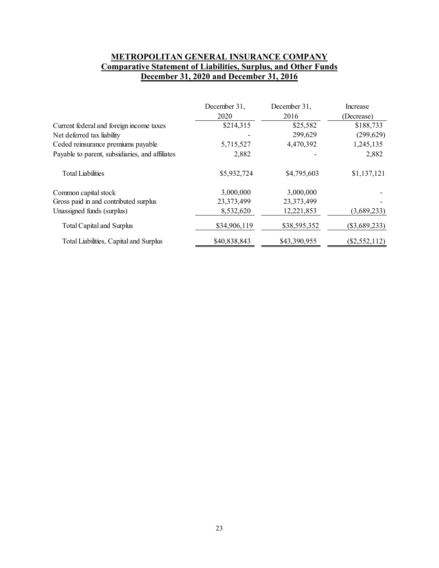## **METROPOLITAN GENERAL INSURANCE COMPANY Comparative Statement of Liabilities, Surplus, and Other Funds December 31, 2020 and December 31, 2016**

<span id="page-25-0"></span>

|                                                 | December 31, | December 31, | Increase        |
|-------------------------------------------------|--------------|--------------|-----------------|
|                                                 | 2020         | 2016         | (Decrease)      |
| Current federal and foreign income taxes        | \$214,315    | \$25,582     | \$188,733       |
| Net deferred tax liability                      |              | 299,629      | (299, 629)      |
| Ceded reinsurance premiums payable              | 5,715,527    | 4,470,392    | 1,245,135       |
| Payable to parent, subsidiaries, and affiliates | 2,882        |              | 2,882           |
| <b>Total Liabilities</b>                        | \$5,932,724  | \$4,795,603  | \$1,137,121     |
| Common capital stock                            | 3,000,000    | 3,000,000    |                 |
| Gross paid in and contributed surplus           | 23,373,499   | 23,373,499   |                 |
| Unassigned funds (surplus)                      | 8,532,620    | 12,221,853   | (3,689,233)     |
| Total Capital and Surplus                       | \$34,906,119 | \$38,595,352 | $(\$3,689,233)$ |
| Total Liabilities, Capital and Surplus          | \$40,838,843 | \$43,390,955 | $(\$2,552,112)$ |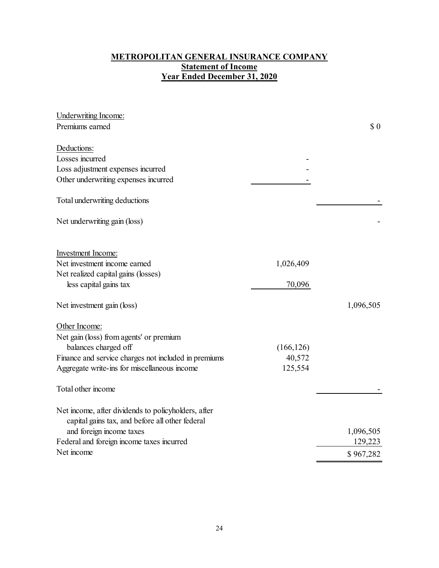## **METROPOLITAN GENERAL INSURANCE COMPANY Statement of Income Year Ended December 31, 2020**

<span id="page-26-0"></span>

| <b>Underwriting Income:</b>                                                                            |            |           |
|--------------------------------------------------------------------------------------------------------|------------|-----------|
| Premiums earned                                                                                        |            | \$0       |
| Deductions:                                                                                            |            |           |
| Losses incurred                                                                                        |            |           |
| Loss adjustment expenses incurred                                                                      |            |           |
| Other underwriting expenses incurred                                                                   |            |           |
| Total underwriting deductions                                                                          |            |           |
| Net underwriting gain (loss)                                                                           |            |           |
| <b>Investment Income:</b>                                                                              |            |           |
| Net investment income earned                                                                           | 1,026,409  |           |
| Net realized capital gains (losses)                                                                    |            |           |
| less capital gains tax                                                                                 | 70,096     |           |
| Net investment gain (loss)                                                                             |            | 1,096,505 |
| Other Income:                                                                                          |            |           |
| Net gain (loss) from agents' or premium                                                                |            |           |
| balances charged off                                                                                   | (166, 126) |           |
| Finance and service charges not included in premiums                                                   | 40,572     |           |
| Aggregate write-ins for miscellaneous income                                                           | 125,554    |           |
| Total other income                                                                                     |            |           |
| Net income, after dividends to policyholders, after<br>capital gains tax, and before all other federal |            |           |
| and foreign income taxes                                                                               |            | 1,096,505 |
| Federal and foreign income taxes incurred                                                              |            | 129,223   |
| Net income                                                                                             |            | \$967,282 |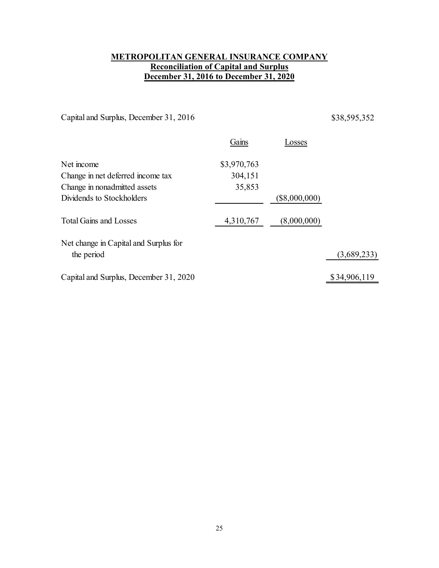## **METROPOLITAN GENERAL INSURANCE COMPANY Reconciliation of Capital and Surplus December 31, 2016 to December 31, 2020**

<span id="page-27-0"></span>Capital and Surplus, December 31, 2016 \$38,595,352

| Gains       | Losses          |              |
|-------------|-----------------|--------------|
| \$3,970,763 |                 |              |
| 304,151     |                 |              |
| 35,853      |                 |              |
|             | $(\$8,000,000)$ |              |
| 4,310,767   | (8,000,000)     |              |
|             |                 |              |
|             |                 | (3,689,233)  |
|             |                 | \$34,906,119 |
|             |                 |              |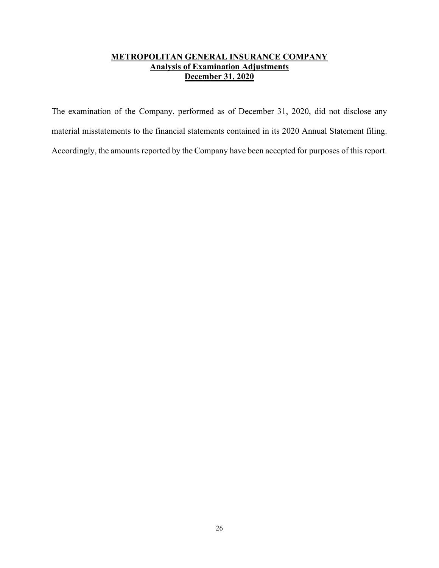## **METROPOLITAN GENERAL INSURANCE COMPANY Analysis of Examination Adjustments December 31, 2020**

<span id="page-28-0"></span>The examination of the Company, performed as of December 31, 2020, did not disclose any material misstatements to the financial statements contained in its 2020 Annual Statement filing. Accordingly, the amounts reported by the Company have been accepted for purposes of this report.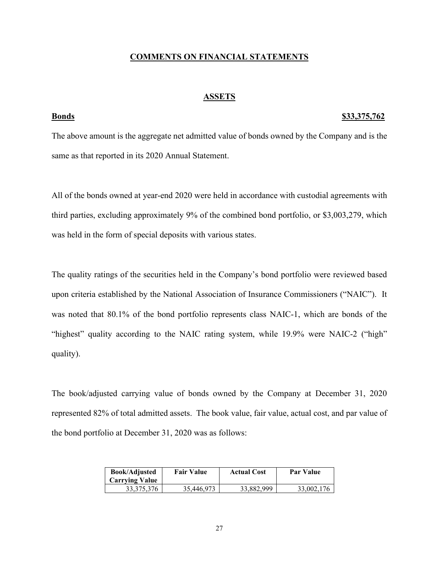#### **COMMENTS ON FINANCIAL STATEMENTS**

#### **ASSETS**

### <span id="page-29-1"></span><span id="page-29-0"></span>**Bonds \$33,375,762**

The above amount is the aggregate net admitted value of bonds owned by the Company and is the same as that reported in its 2020 Annual Statement.

All of the bonds owned at year-end 2020 were held in accordance with custodial agreements with third parties, excluding approximately 9% of the combined bond portfolio, or \$3,003,279, which was held in the form of special deposits with various states.

The quality ratings of the securities held in the Company's bond portfolio were reviewed based upon criteria established by the National Association of Insurance Commissioners ("NAIC"). It was noted that 80.1% of the bond portfolio represents class NAIC-1, which are bonds of the "highest" quality according to the NAIC rating system, while 19.9% were NAIC-2 ("high" quality).

The book/adjusted carrying value of bonds owned by the Company at December 31, 2020 represented 82% of total admitted assets. The book value, fair value, actual cost, and par value of the bond portfolio at December 31, 2020 was as follows:

| <b>Book/Adjusted</b><br><b>Carrying Value</b> | <b>Fair Value</b> | <b>Actual Cost</b> | Par Value  |
|-----------------------------------------------|-------------------|--------------------|------------|
| 33, 375, 376                                  | 35,446,973        | 33,882,999         | 33,002,176 |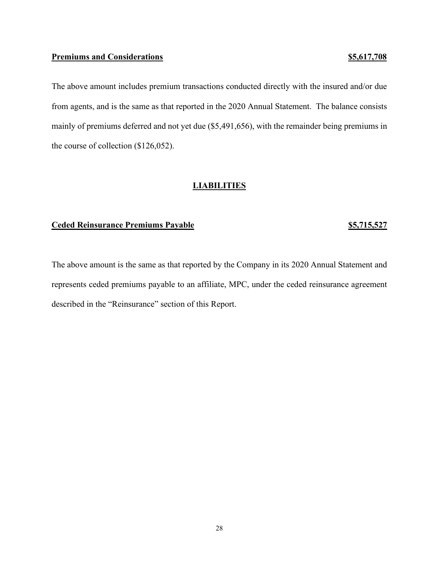#### <span id="page-30-0"></span>**Premiums and Considerations by S5,617,708**

The above amount includes premium transactions conducted directly with the insured and/or due from agents, and is the same as that reported in the 2020 Annual Statement. The balance consists mainly of premiums deferred and not yet due (\$5,491,656), with the remainder being premiums in the course of collection (\$126,052).

#### **LIABILITIES**

### <span id="page-30-1"></span>**Ceded Reinsurance Premiums Payable 85,715,527**

The above amount is the same as that reported by the Company in its 2020 Annual Statement and represents ceded premiums payable to an affiliate, MPC, under the ceded reinsurance agreement described in the "Reinsurance" section of this Report.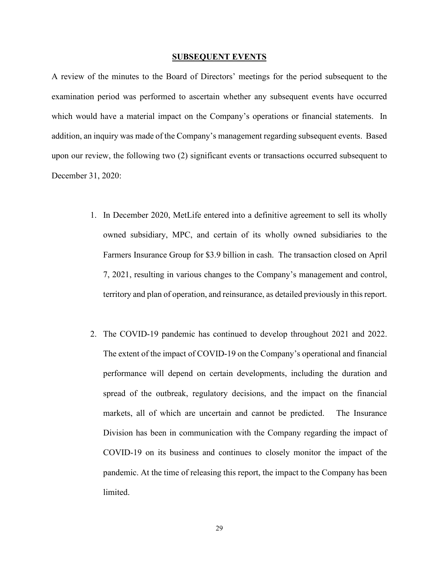#### **SUBSEQUENT EVENTS**

<span id="page-31-0"></span>A review of the minutes to the Board of Directors' meetings for the period subsequent to the examination period was performed to ascertain whether any subsequent events have occurred which would have a material impact on the Company's operations or financial statements. In addition, an inquiry was made of the Company's management regarding subsequent events. Based upon our review, the following two (2) significant events or transactions occurred subsequent to December 31, 2020:

- 1. In December 2020, MetLife entered into a definitive agreement to sell its wholly owned subsidiary, MPC, and certain of its wholly owned subsidiaries to the Farmers Insurance Group for \$3.9 billion in cash. The transaction closed on April 7, 2021, resulting in various changes to the Company's management and control, territory and plan of operation, and reinsurance, as detailed previously in this report.
- 2. The COVID-19 pandemic has continued to develop throughout 2021 and 2022. The extent of the impact of COVID-19 on the Company's operational and financial performance will depend on certain developments, including the duration and spread of the outbreak, regulatory decisions, and the impact on the financial markets, all of which are uncertain and cannot be predicted. The Insurance Division has been in communication with the Company regarding the impact of COVID-19 on its business and continues to closely monitor the impact of the pandemic. At the time of releasing this report, the impact to the Company has been limited.